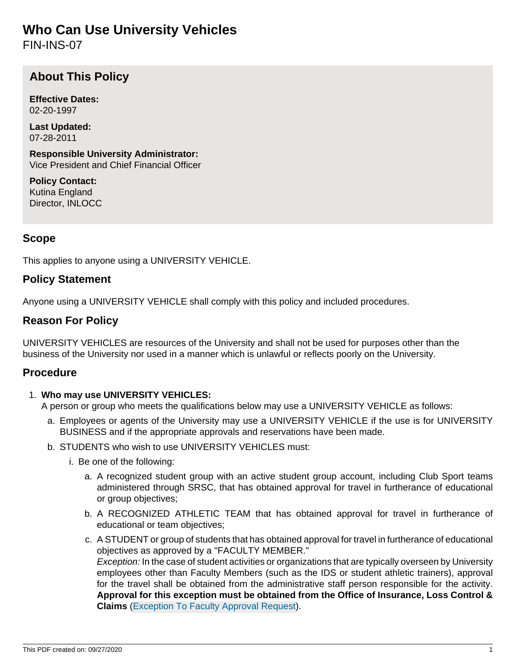# **Who Can Use University Vehicles**

FIN-INS-07

# **About This Policy**

**Effective Dates:** 02-20-1997

**Last Updated:** 07-28-2011

**Responsible University Administrator:** Vice President and Chief Financial Officer

**Policy Contact:** Kutina England Director, INLOCC

# **Scope**

This applies to anyone using a UNIVERSITY VEHICLE.

## **Policy Statement**

Anyone using a UNIVERSITY VEHICLE shall comply with this policy and included procedures.

# **Reason For Policy**

UNIVERSITY VEHICLES are resources of the University and shall not be used for purposes other than the business of the University nor used in a manner which is unlawful or reflects poorly on the University.

## **Procedure**

## 1. **Who may use UNIVERSITY VEHICLES:**

A person or group who meets the qualifications below may use a UNIVERSITY VEHICLE as follows:

- a. Employees or agents of the University may use a UNIVERSITY VEHICLE if the use is for UNIVERSITY BUSINESS and if the appropriate approvals and reservations have been made.
- b. STUDENTS who wish to use UNIVERSITY VEHICLES must:
	- i. Be one of the following:
		- a. A recognized student group with an active student group account, including Club Sport teams administered through SRSC, that has obtained approval for travel in furtherance of educational or group objectives;
		- b. A RECOGNIZED ATHLETIC TEAM that has obtained approval for travel in furtherance of educational or team objectives;
		- c. A STUDENT or group of students that has obtained approval for travel in furtherance of educational objectives as approved by a "FACULTY MEMBER." Exception: In the case of student activities or organizations that are typically overseen by University employees other than Faculty Members (such as the IDS or student athletic trainers), approval for the travel shall be obtained from the administrative staff person responsible for the activity. **Approval for this exception must be obtained from the Office of Insurance, Loss Control & Claims** ([Exception To Faculty Approval Request\)](https://inlocc.iu.edu/Forms/ExceptionToFacultyApprovalRequest.cfm).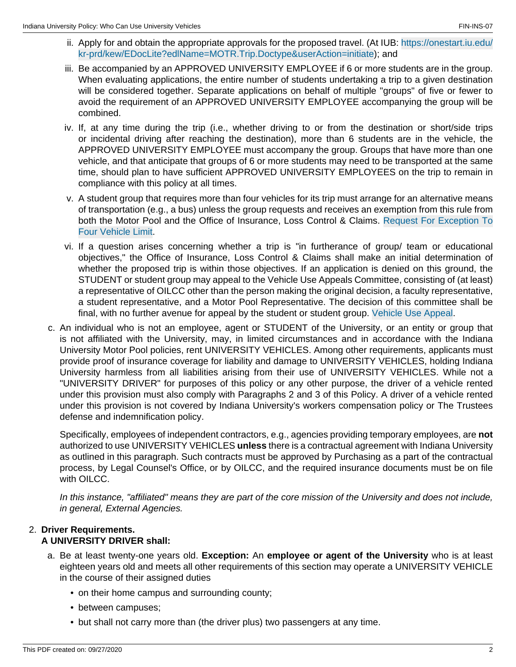- ii. Apply for and obtain the appropriate approvals for the proposed travel. (At IUB: [https://onestart.iu.edu/](https://onestart.iu.edu/kr-prd/kew/EDocLite?edlName=MOTR.Trip.Doctype&userAction=initiate) [kr-prd/kew/EDocLite?edlName=MOTR.Trip.Doctype&userAction=initiate\)](https://onestart.iu.edu/kr-prd/kew/EDocLite?edlName=MOTR.Trip.Doctype&userAction=initiate); and
- iii. Be accompanied by an APPROVED UNIVERSITY EMPLOYEE if 6 or more students are in the group. When evaluating applications, the entire number of students undertaking a trip to a given destination will be considered together. Separate applications on behalf of multiple "groups" of five or fewer to avoid the requirement of an APPROVED UNIVERSITY EMPLOYEE accompanying the group will be combined.
- iv. If, at any time during the trip (i.e., whether driving to or from the destination or short/side trips or incidental driving after reaching the destination), more than 6 students are in the vehicle, the APPROVED UNIVERSITY EMPLOYEE must accompany the group. Groups that have more than one vehicle, and that anticipate that groups of 6 or more students may need to be transported at the same time, should plan to have sufficient APPROVED UNIVERSITY EMPLOYEES on the trip to remain in compliance with this policy at all times.
- v. A student group that requires more than four vehicles for its trip must arrange for an alternative means of transportation (e.g., a bus) unless the group requests and receives an exemption from this rule from both the Motor Pool and the Office of Insurance, Loss Control & Claims. [Request For Exception To](https://inlocc.iu.edu/Forms/RequestForExceptionToFourVehLimit.cfm) [Four Vehicle Limit](https://inlocc.iu.edu/Forms/RequestForExceptionToFourVehLimit.cfm).
- vi. If a question arises concerning whether a trip is "in furtherance of group/ team or educational objectives," the Office of Insurance, Loss Control & Claims shall make an initial determination of whether the proposed trip is within those objectives. If an application is denied on this ground, the STUDENT or student group may appeal to the Vehicle Use Appeals Committee, consisting of (at least) a representative of OILCC other than the person making the original decision, a faculty representative, a student representative, and a Motor Pool Representative. The decision of this committee shall be final, with no further avenue for appeal by the student or student group. [Vehicle Use Appeal.](https://inlocc.iu.edu/Forms/VehicleUseAppeal.cfm)
- c. An individual who is not an employee, agent or STUDENT of the University, or an entity or group that is not affiliated with the University, may, in limited circumstances and in accordance with the Indiana University Motor Pool policies, rent UNIVERSITY VEHICLES. Among other requirements, applicants must provide proof of insurance coverage for liability and damage to UNIVERSITY VEHICLES, holding Indiana University harmless from all liabilities arising from their use of UNIVERSITY VEHICLES. While not a "UNIVERSITY DRIVER" for purposes of this policy or any other purpose, the driver of a vehicle rented under this provision must also comply with Paragraphs 2 and 3 of this Policy. A driver of a vehicle rented under this provision is not covered by Indiana University's workers compensation policy or The Trustees defense and indemnification policy.

Specifically, employees of independent contractors, e.g., agencies providing temporary employees, are **not** authorized to use UNIVERSITY VEHICLES **unless** there is a contractual agreement with Indiana University as outlined in this paragraph. Such contracts must be approved by Purchasing as a part of the contractual process, by Legal Counsel's Office, or by OILCC, and the required insurance documents must be on file with OILCC.

In this instance, "affiliated" means they are part of the core mission of the University and does not include, in general, External Agencies.

# 2. **Driver Requirements.**

## **A UNIVERSITY DRIVER shall:**

- a. Be at least twenty-one years old. **Exception:** An **employee or agent of the University** who is at least eighteen years old and meets all other requirements of this section may operate a UNIVERSITY VEHICLE in the course of their assigned duties
	- on their home campus and surrounding county;
	- between campuses;
	- but shall not carry more than (the driver plus) two passengers at any time.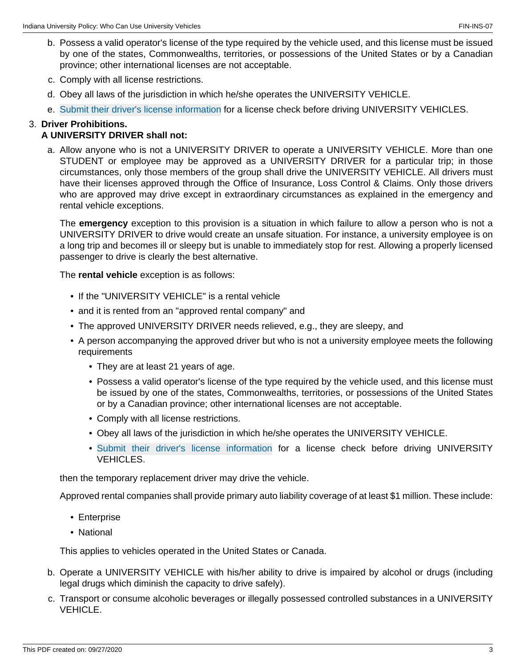- b. Possess a valid operator's license of the type required by the vehicle used, and this license must be issued by one of the states, Commonwealths, territories, or possessions of the United States or by a Canadian province; other international licenses are not acceptable.
- c. Comply with all license restrictions.
- d. Obey all laws of the jurisdiction in which he/she operates the UNIVERSITY VEHICLE.
- e. [Submit their driver's license information](https://inlocc.iu.edu/CAS/MVR2/First/FirstStepSubmit.cfm) for a license check before driving UNIVERSITY VEHICLES.

## 3. **Driver Prohibitions.**

#### **A UNIVERSITY DRIVER shall not:**

a. Allow anyone who is not a UNIVERSITY DRIVER to operate a UNIVERSITY VEHICLE. More than one STUDENT or employee may be approved as a UNIVERSITY DRIVER for a particular trip; in those circumstances, only those members of the group shall drive the UNIVERSITY VEHICLE. All drivers must have their licenses approved through the Office of Insurance, Loss Control & Claims. Only those drivers who are approved may drive except in extraordinary circumstances as explained in the emergency and rental vehicle exceptions.

The **emergency** exception to this provision is a situation in which failure to allow a person who is not a UNIVERSITY DRIVER to drive would create an unsafe situation. For instance, a university employee is on a long trip and becomes ill or sleepy but is unable to immediately stop for rest. Allowing a properly licensed passenger to drive is clearly the best alternative.

The **rental vehicle** exception is as follows:

- If the "UNIVERSITY VEHICLE" is a rental vehicle
- and it is rented from an "approved rental company" and
- The approved UNIVERSITY DRIVER needs relieved, e.g., they are sleepy, and
- A person accompanying the approved driver but who is not a university employee meets the following requirements
	- They are at least 21 years of age.
	- Possess a valid operator's license of the type required by the vehicle used, and this license must be issued by one of the states, Commonwealths, territories, or possessions of the United States or by a Canadian province; other international licenses are not acceptable.
	- Comply with all license restrictions.
	- Obey all laws of the jurisdiction in which he/she operates the UNIVERSITY VEHICLE.
	- [Submit their driver's license information](https://inlocc.iu.edu/CAS/MVR2/First/FirstStepSubmit.cfm) for a license check before driving UNIVERSITY VEHICLES.

then the temporary replacement driver may drive the vehicle.

Approved rental companies shall provide primary auto liability coverage of at least \$1 million. These include:

- Enterprise
- National

This applies to vehicles operated in the United States or Canada.

- b. Operate a UNIVERSITY VEHICLE with his/her ability to drive is impaired by alcohol or drugs (including legal drugs which diminish the capacity to drive safely).
- c. Transport or consume alcoholic beverages or illegally possessed controlled substances in a UNIVERSITY VEHICLE.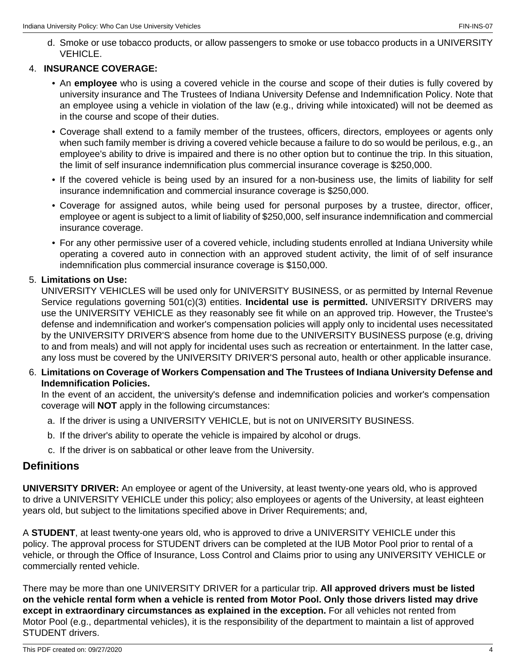d. Smoke or use tobacco products, or allow passengers to smoke or use tobacco products in a UNIVERSITY VEHICLE.

### 4. **INSURANCE COVERAGE:**

- An **employee** who is using a covered vehicle in the course and scope of their duties is fully covered by university insurance and The Trustees of Indiana University Defense and Indemnification Policy. Note that an employee using a vehicle in violation of the law (e.g., driving while intoxicated) will not be deemed as in the course and scope of their duties.
- Coverage shall extend to a family member of the trustees, officers, directors, employees or agents only when such family member is driving a covered vehicle because a failure to do so would be perilous, e.g., an employee's ability to drive is impaired and there is no other option but to continue the trip. In this situation, the limit of self insurance indemnification plus commercial insurance coverage is \$250,000.
- If the covered vehicle is being used by an insured for a non-business use, the limits of liability for self insurance indemnification and commercial insurance coverage is \$250,000.
- Coverage for assigned autos, while being used for personal purposes by a trustee, director, officer, employee or agent is subject to a limit of liability of \$250,000, self insurance indemnification and commercial insurance coverage.
- For any other permissive user of a covered vehicle, including students enrolled at Indiana University while operating a covered auto in connection with an approved student activity, the limit of of self insurance indemnification plus commercial insurance coverage is \$150,000.

### 5. **Limitations on Use:**

UNIVERSITY VEHICLES will be used only for UNIVERSITY BUSINESS, or as permitted by Internal Revenue Service regulations governing 501(c)(3) entities. **Incidental use is permitted.** UNIVERSITY DRIVERS may use the UNIVERSITY VEHICLE as they reasonably see fit while on an approved trip. However, the Trustee's defense and indemnification and worker's compensation policies will apply only to incidental uses necessitated by the UNIVERSITY DRIVER'S absence from home due to the UNIVERSITY BUSINESS purpose (e.g, driving to and from meals) and will not apply for incidental uses such as recreation or entertainment. In the latter case, any loss must be covered by the UNIVERSITY DRIVER'S personal auto, health or other applicable insurance.

6. **Limitations on Coverage of Workers Compensation and The Trustees of Indiana University Defense and Indemnification Policies.**

In the event of an accident, the university's defense and indemnification policies and worker's compensation coverage will **NOT** apply in the following circumstances:

- a. If the driver is using a UNIVERSITY VEHICLE, but is not on UNIVERSITY BUSINESS.
- b. If the driver's ability to operate the vehicle is impaired by alcohol or drugs.
- c. If the driver is on sabbatical or other leave from the University.

## **Definitions**

**UNIVERSITY DRIVER:** An employee or agent of the University, at least twenty-one years old, who is approved to drive a UNIVERSITY VEHICLE under this policy; also employees or agents of the University, at least eighteen years old, but subject to the limitations specified above in Driver Requirements; and,

A **STUDENT**, at least twenty-one years old, who is approved to drive a UNIVERSITY VEHICLE under this policy. The approval process for STUDENT drivers can be completed at the IUB Motor Pool prior to rental of a vehicle, or through the Office of Insurance, Loss Control and Claims prior to using any UNIVERSITY VEHICLE or commercially rented vehicle.

There may be more than one UNIVERSITY DRIVER for a particular trip. **All approved drivers must be listed on the vehicle rental form when a vehicle is rented from Motor Pool. Only those drivers listed may drive except in extraordinary circumstances as explained in the exception.** For all vehicles not rented from Motor Pool (e.g., departmental vehicles), it is the responsibility of the department to maintain a list of approved STUDENT drivers.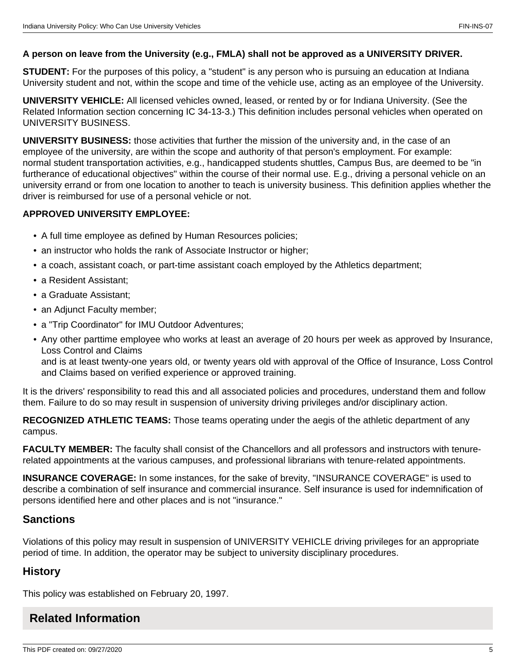### **A person on leave from the University (e.g., FMLA) shall not be approved as a UNIVERSITY DRIVER.**

**STUDENT:** For the purposes of this policy, a "student" is any person who is pursuing an education at Indiana University student and not, within the scope and time of the vehicle use, acting as an employee of the University.

**UNIVERSITY VEHICLE:** All licensed vehicles owned, leased, or rented by or for Indiana University. (See the Related Information section concerning IC 34-13-3.) This definition includes personal vehicles when operated on UNIVERSITY BUSINESS.

**UNIVERSITY BUSINESS:** those activities that further the mission of the university and, in the case of an employee of the university, are within the scope and authority of that person's employment. For example: normal student transportation activities, e.g., handicapped students shuttles, Campus Bus, are deemed to be "in furtherance of educational objectives" within the course of their normal use. E.g., driving a personal vehicle on an university errand or from one location to another to teach is university business. This definition applies whether the driver is reimbursed for use of a personal vehicle or not.

#### **APPROVED UNIVERSITY EMPLOYEE:**

- A full time employee as defined by Human Resources policies;
- an instructor who holds the rank of Associate Instructor or higher;
- a coach, assistant coach, or part-time assistant coach employed by the Athletics department;
- a Resident Assistant;
- a Graduate Assistant;
- an Adjunct Faculty member;
- a "Trip Coordinator" for IMU Outdoor Adventures;
- Any other parttime employee who works at least an average of 20 hours per week as approved by Insurance, Loss Control and Claims and is at least twenty-one years old, or twenty years old with approval of the Office of Insurance, Loss Control

and Claims based on verified experience or approved training.

It is the drivers' responsibility to read this and all associated policies and procedures, understand them and follow them. Failure to do so may result in suspension of university driving privileges and/or disciplinary action.

**RECOGNIZED ATHLETIC TEAMS:** Those teams operating under the aegis of the athletic department of any campus.

**FACULTY MEMBER:** The faculty shall consist of the Chancellors and all professors and instructors with tenurerelated appointments at the various campuses, and professional librarians with tenure-related appointments.

**INSURANCE COVERAGE:** In some instances, for the sake of brevity, "INSURANCE COVERAGE" is used to describe a combination of self insurance and commercial insurance. Self insurance is used for indemnification of persons identified here and other places and is not "insurance."

## **Sanctions**

Violations of this policy may result in suspension of UNIVERSITY VEHICLE driving privileges for an appropriate period of time. In addition, the operator may be subject to university disciplinary procedures.

# **History**

This policy was established on February 20, 1997.

# **Related Information**